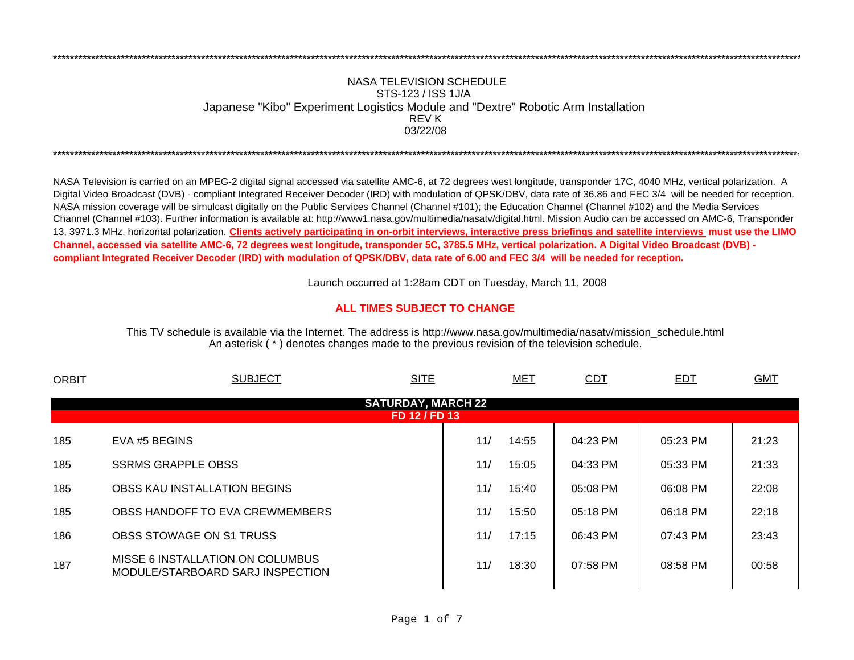## NASA TELEVISION SCHEDULESTS-123 / ISS 1J/A Japanese "Kibo" Experiment Logistics Module and "Dextre" Robotic Arm Installation 03/22/08REV K

\*\*\*\*\*\*\*\*\*\*\*\*\*\*\*\*\*\*\*\*\*\*\*\*\*\*\*\*\*\*\*\*\*\*\*\*\*\*\*\*\*\*\*\*\*\*\*\*\*\*\*\*\*\*\*\*\*\*\*\*\*\*\*\*\*\*\*\*\*\*\*\*\*\*\*\*\*\*\*\*\*\*\*\*\*\*\*\*\*\*\*\*\*\*\*\*\*\*\*\*\*\*\*\*\*\*\*\*\*\*\*\*\*\*\*\*\*\*\*\*\*\*\*\*\*\*\*\*\*\*\*\*\*\*\*\*\*\*\*\*\*\*\*\*\*\*\*\*\*\*\*\*\*\*\*\*\*\*\*\*\*\*\*\*\*\*\*\*\*\*\*\*\*\*\*\*\*

NASA Television is carried on an MPEG-2 digital signal accessed via satellite AMC-6, at 72 degrees west longitude, transponder 17C, 4040 MHz, vertical polarization. A Digital Video Broadcast (DVB) - compliant Integrated Receiver Decoder (IRD) with modulation of QPSK/DBV, data rate of 36.86 and FEC 3/4 will be needed for reception. NASA mission coverage will be simulcast digitally on the Public Services Channel (Channel #101); the Education Channel (Channel #102) and the Media Services Channel (Channel #103). Further information is available at: http://www1.nasa.gov/multimedia/nasatv/digital.html. Mission Audio can be accessed on AMC-6, Transponder 13, 3971.3 MHz, horizontal polarization. **Clients actively participating in on-orbit interviews, interactive press briefings and satellite interviews must use the LIMO Channel, accessed via satellite AMC-6, 72 degrees west longitude, transponder 5C, 3785.5 MHz, vertical polarization. A Digital Video Broadcast (DVB) compliant Integrated Receiver Decoder (IRD) with modulation of QPSK/DBV, data rate of 6.00 and FEC 3/4 will be needed for reception.**

\*\*\*\*\*\*\*\*\*\*\*\*\*\*\*\*\*\*\*\*\*\*\*\*\*\*\*\*\*\*\*\*\*\*\*\*\*\*\*\*\*\*\*\*\*\*\*\*\*\*\*\*\*\*\*\*\*\*\*\*\*\*\*\*\*\*\*\*\*\*\*\*\*\*\*\*\*\*\*\*\*\*\*\*\*\*\*\*\*\*\*\*\*\*\*\*\*\*\*\*\*\*\*\*\*\*\*\*\*\*\*\*\*\*\*\*\*\*\*\*\*\*\*\*\*\*\*\*\*\*\*\*\*\*\*\*\*\*\*\*\*\*\*\*\*\*\*\*\*\*\*\*\*\*\*\*\*\*\*\*\*\*\*\*\*\*\*\*\*\*\*\*\*\*\*\*\*

Launch occurred at 1:28am CDT on Tuesday, March 11, 200 8

## **ALL TIMES SUBJECT TO CHANGE**

An asterisk ( \* ) denotes changes made to the previous revision of the television schedule. This TV schedule is available via the Internet. The address is http://www.nasa.gov/multimedia/nasatv/mission\_schedule.html

| <b>SUBJECT</b>                                                       | <b>SITE</b> |               | <b>CDT</b> | <b>EDT</b> | <b>GMT</b> |  |  |  |  |  |
|----------------------------------------------------------------------|-------------|---------------|------------|------------|------------|--|--|--|--|--|
| <b>SATURDAY, MARCH 22</b>                                            |             |               |            |            |            |  |  |  |  |  |
|                                                                      |             |               |            |            |            |  |  |  |  |  |
| EVA #5 BEGINS                                                        | 11/         | 14:55         | 04:23 PM   | 05:23 PM   | 21:23      |  |  |  |  |  |
| <b>SSRMS GRAPPLE OBSS</b>                                            | 11/         | 15:05         | 04:33 PM   | 05:33 PM   | 21:33      |  |  |  |  |  |
| OBSS KAU INSTALLATION BEGINS                                         | 11/         | 15:40         | 05:08 PM   | 06:08 PM   | 22:08      |  |  |  |  |  |
| OBSS HANDOFF TO EVA CREWMEMBERS                                      | 11/         | 15:50         | 05:18 PM   | 06:18 PM   | 22:18      |  |  |  |  |  |
| <b>OBSS STOWAGE ON S1 TRUSS</b>                                      | 11/         | 17:15         | 06:43 PM   | 07:43 PM   | 23:43      |  |  |  |  |  |
| MISSE 6 INSTALLATION ON COLUMBUS<br>MODULE/STARBOARD SARJ INSPECTION | 11/         | 18:30         | 07:58 PM   | 08:58 PM   | 00:58      |  |  |  |  |  |
|                                                                      |             | FD 12 / FD 13 | <b>MET</b> |            |            |  |  |  |  |  |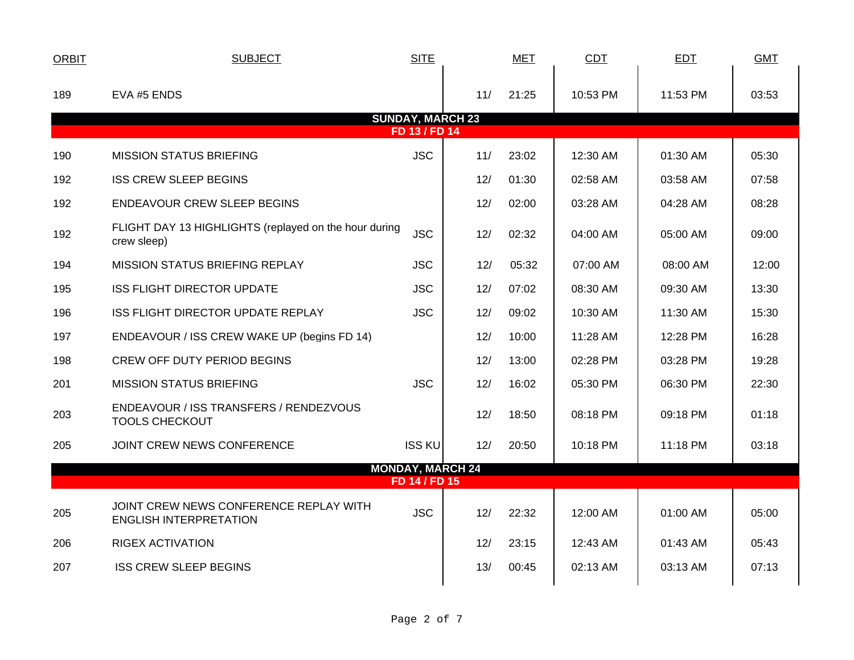| <b>ORBIT</b>                             | <b>SUBJECT</b>                                                          | <b>SITE</b>             |     | <b>MET</b> | <b>CDT</b> | <b>EDT</b> | <b>GMT</b> |  |
|------------------------------------------|-------------------------------------------------------------------------|-------------------------|-----|------------|------------|------------|------------|--|
| 189                                      | EVA #5 ENDS                                                             |                         | 11/ | 21:25      | 10:53 PM   | 11:53 PM   | 03:53      |  |
| <b>SUNDAY, MARCH 23</b><br>FD 13 / FD 14 |                                                                         |                         |     |            |            |            |            |  |
| 190                                      | <b>MISSION STATUS BRIEFING</b>                                          | <b>JSC</b>              | 11/ | 23:02      | 12:30 AM   | 01:30 AM   | 05:30      |  |
| 192                                      | <b>ISS CREW SLEEP BEGINS</b>                                            |                         | 12/ | 01:30      | 02:58 AM   | 03:58 AM   | 07:58      |  |
| 192                                      | ENDEAVOUR CREW SLEEP BEGINS                                             |                         | 12/ | 02:00      | 03:28 AM   | 04:28 AM   | 08:28      |  |
| 192                                      | FLIGHT DAY 13 HIGHLIGHTS (replayed on the hour during<br>crew sleep)    | <b>JSC</b>              | 12/ | 02:32      | 04:00 AM   | 05:00 AM   | 09:00      |  |
| 194                                      | <b>MISSION STATUS BRIEFING REPLAY</b>                                   | <b>JSC</b>              | 12/ | 05:32      | 07:00 AM   | 08:00 AM   | 12:00      |  |
| 195                                      | <b>ISS FLIGHT DIRECTOR UPDATE</b>                                       | <b>JSC</b>              | 12/ | 07:02      | 08:30 AM   | 09:30 AM   | 13:30      |  |
| 196                                      | ISS FLIGHT DIRECTOR UPDATE REPLAY                                       | <b>JSC</b>              | 12/ | 09:02      | 10:30 AM   | 11:30 AM   | 15:30      |  |
| 197                                      | ENDEAVOUR / ISS CREW WAKE UP (begins FD 14)                             |                         | 12/ | 10:00      | 11:28 AM   | 12:28 PM   | 16:28      |  |
| 198                                      | <b>CREW OFF DUTY PERIOD BEGINS</b>                                      |                         | 12/ | 13:00      | 02:28 PM   | 03:28 PM   | 19:28      |  |
| 201                                      | <b>MISSION STATUS BRIEFING</b>                                          | <b>JSC</b>              | 12/ | 16:02      | 05:30 PM   | 06:30 PM   | 22:30      |  |
| 203                                      | ENDEAVOUR / ISS TRANSFERS / RENDEZVOUS<br><b>TOOLS CHECKOUT</b>         |                         | 12/ | 18:50      | 08:18 PM   | 09:18 PM   | 01:18      |  |
| 205                                      | JOINT CREW NEWS CONFERENCE                                              | <b>ISS KU</b>           | 12/ | 20:50      | 10:18 PM   | 11:18 PM   | 03:18      |  |
|                                          |                                                                         | <b>MONDAY, MARCH 24</b> |     |            |            |            |            |  |
|                                          |                                                                         | FD 14 / FD 15           |     |            |            |            |            |  |
| 205                                      | JOINT CREW NEWS CONFERENCE REPLAY WITH<br><b>ENGLISH INTERPRETATION</b> | <b>JSC</b>              | 12/ | 22:32      | 12:00 AM   | 01:00 AM   | 05:00      |  |
| 206                                      | <b>RIGEX ACTIVATION</b>                                                 |                         | 12/ | 23:15      | 12:43 AM   | 01:43 AM   | 05:43      |  |
| 207                                      | <b>ISS CREW SLEEP BEGINS</b>                                            |                         | 13/ | 00:45      | 02:13 AM   | 03:13 AM   | 07:13      |  |
|                                          |                                                                         |                         |     |            |            |            |            |  |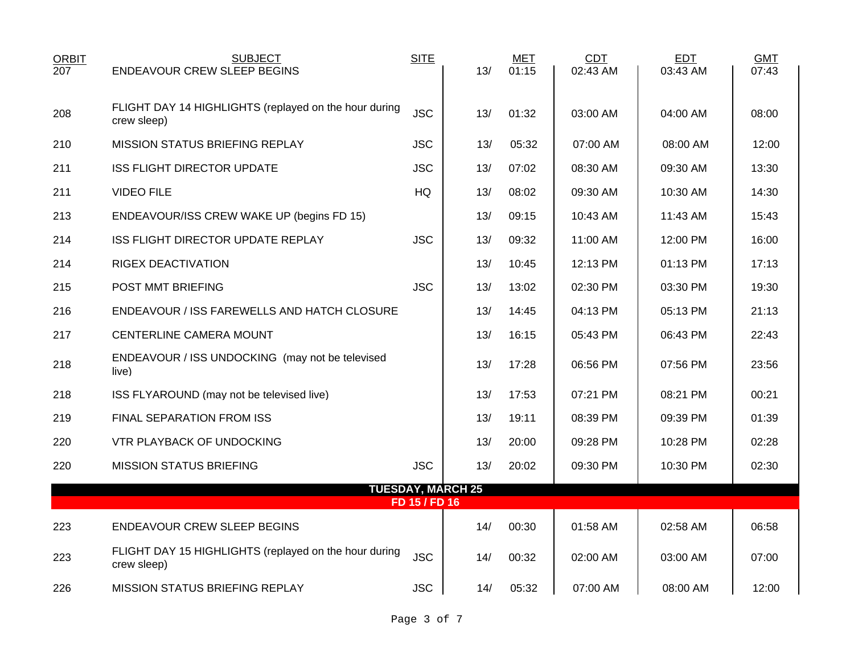| <b>ORBIT</b><br>207 | <b>SUBJECT</b><br><b>ENDEAVOUR CREW SLEEP BEGINS</b>                 | <b>SITE</b>   | 13/                      | <b>MET</b><br>01:15 | <b>CDT</b><br>02:43 AM | <b>EDT</b><br>03:43 AM | <b>GMT</b><br>07:43 |
|---------------------|----------------------------------------------------------------------|---------------|--------------------------|---------------------|------------------------|------------------------|---------------------|
|                     |                                                                      |               |                          |                     |                        |                        |                     |
| 208                 | FLIGHT DAY 14 HIGHLIGHTS (replayed on the hour during<br>crew sleep) | <b>JSC</b>    | 13/                      | 01:32               | 03:00 AM               | 04:00 AM               | 08:00               |
| 210                 | MISSION STATUS BRIEFING REPLAY                                       | <b>JSC</b>    | 13/                      | 05:32               | 07:00 AM               | 08:00 AM               | 12:00               |
| 211                 | <b>ISS FLIGHT DIRECTOR UPDATE</b>                                    | <b>JSC</b>    | 13/                      | 07:02               | 08:30 AM               | 09:30 AM               | 13:30               |
| 211                 | <b>VIDEO FILE</b>                                                    | HQ            | 13/                      | 08:02               | 09:30 AM               | 10:30 AM               | 14:30               |
| 213                 | ENDEAVOUR/ISS CREW WAKE UP (begins FD 15)                            |               | 13/                      | 09:15               | 10:43 AM               | 11:43 AM               | 15:43               |
| 214                 | ISS FLIGHT DIRECTOR UPDATE REPLAY                                    | <b>JSC</b>    | 13/                      | 09:32               | 11:00 AM               | 12:00 PM               | 16:00               |
| 214                 | <b>RIGEX DEACTIVATION</b>                                            |               | 13/                      | 10:45               | 12:13 PM               | 01:13 PM               | 17:13               |
| 215                 | POST MMT BRIEFING                                                    | <b>JSC</b>    | 13/                      | 13:02               | 02:30 PM               | 03:30 PM               | 19:30               |
| 216                 | ENDEAVOUR / ISS FAREWELLS AND HATCH CLOSURE                          |               | 13/                      | 14:45               | 04:13 PM               | 05:13 PM               | 21:13               |
| 217                 | CENTERLINE CAMERA MOUNT                                              |               | 13/                      | 16:15               | 05:43 PM               | 06:43 PM               | 22:43               |
| 218                 | ENDEAVOUR / ISS UNDOCKING (may not be televised<br>live)             |               | 13/                      | 17:28               | 06:56 PM               | 07:56 PM               | 23:56               |
| 218                 | ISS FLYAROUND (may not be televised live)                            |               | 13/                      | 17:53               | 07:21 PM               | 08:21 PM               | 00:21               |
| 219                 | FINAL SEPARATION FROM ISS                                            |               | 13/                      | 19:11               | 08:39 PM               | 09:39 PM               | 01:39               |
| 220                 | VTR PLAYBACK OF UNDOCKING                                            |               | 13/                      | 20:00               | 09:28 PM               | 10:28 PM               | 02:28               |
| 220                 | <b>MISSION STATUS BRIEFING</b>                                       | <b>JSC</b>    | 13/                      | 20:02               | 09:30 PM               | 10:30 PM               | 02:30               |
|                     |                                                                      | FD 15 / FD 16 | <b>TUESDAY, MARCH 25</b> |                     |                        |                        |                     |
|                     |                                                                      |               |                          |                     |                        |                        |                     |
| 223                 | <b>ENDEAVOUR CREW SLEEP BEGINS</b>                                   |               | 14/                      | 00:30               | 01:58 AM               | 02:58 AM               | 06:58               |
| 223                 | FLIGHT DAY 15 HIGHLIGHTS (replayed on the hour during<br>crew sleep) | <b>JSC</b>    | 14/                      | 00:32               | 02:00 AM               | 03:00 AM               | 07:00               |
| 226                 | <b>MISSION STATUS BRIEFING REPLAY</b>                                | <b>JSC</b>    | 14/                      | 05:32               | 07:00 AM               | 08:00 AM               | 12:00               |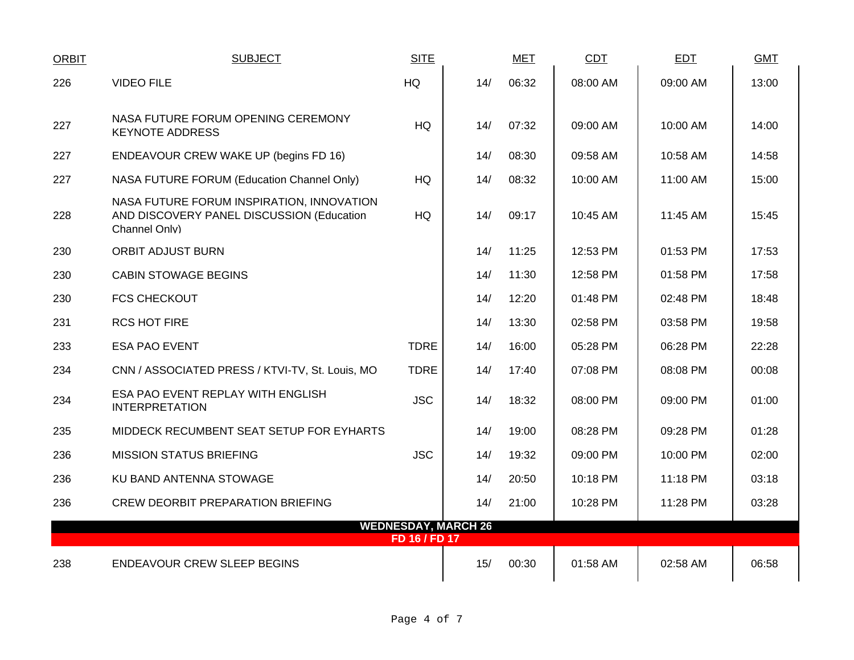| <b>ORBIT</b> | <b>SUBJECT</b>                                                                                          | <b>SITE</b>   |                            | <b>MET</b> | CDT      | <b>EDT</b> | <b>GMT</b> |
|--------------|---------------------------------------------------------------------------------------------------------|---------------|----------------------------|------------|----------|------------|------------|
| 226          | <b>VIDEO FILE</b>                                                                                       | HQ            | 14/                        | 06:32      | 08:00 AM | 09:00 AM   | 13:00      |
| 227          | NASA FUTURE FORUM OPENING CEREMONY<br><b>KEYNOTE ADDRESS</b>                                            | HQ            | 14/                        | 07:32      | 09:00 AM | 10:00 AM   | 14:00      |
| 227          | ENDEAVOUR CREW WAKE UP (begins FD 16)                                                                   |               | 14/                        | 08:30      | 09:58 AM | 10:58 AM   | 14:58      |
| 227          | NASA FUTURE FORUM (Education Channel Only)                                                              | <b>HQ</b>     | 14/                        | 08:32      | 10:00 AM | 11:00 AM   | 15:00      |
| 228          | NASA FUTURE FORUM INSPIRATION, INNOVATION<br>AND DISCOVERY PANEL DISCUSSION (Education<br>Channel Only) | <b>HQ</b>     | 14/                        | 09:17      | 10:45 AM | 11:45 AM   | 15:45      |
| 230          | ORBIT ADJUST BURN                                                                                       |               | 14/                        | 11:25      | 12:53 PM | 01:53 PM   | 17:53      |
| 230          | <b>CABIN STOWAGE BEGINS</b>                                                                             |               | 14/                        | 11:30      | 12:58 PM | 01:58 PM   | 17:58      |
| 230          | <b>FCS CHECKOUT</b>                                                                                     |               | 14/                        | 12:20      | 01:48 PM | 02:48 PM   | 18:48      |
| 231          | <b>RCS HOT FIRE</b>                                                                                     |               | 14/                        | 13:30      | 02:58 PM | 03:58 PM   | 19:58      |
| 233          | <b>ESA PAO EVENT</b>                                                                                    | <b>TDRE</b>   | 14/                        | 16:00      | 05:28 PM | 06:28 PM   | 22:28      |
| 234          | CNN / ASSOCIATED PRESS / KTVI-TV, St. Louis, MO                                                         | <b>TDRE</b>   | 14/                        | 17:40      | 07:08 PM | 08:08 PM   | 00:08      |
| 234          | ESA PAO EVENT REPLAY WITH ENGLISH<br><b>INTERPRETATION</b>                                              | <b>JSC</b>    | 14/                        | 18:32      | 08:00 PM | 09:00 PM   | 01:00      |
| 235          | MIDDECK RECUMBENT SEAT SETUP FOR EYHARTS                                                                |               | 14/                        | 19:00      | 08:28 PM | 09:28 PM   | 01:28      |
| 236          | <b>MISSION STATUS BRIEFING</b>                                                                          | <b>JSC</b>    | 14/                        | 19:32      | 09:00 PM | 10:00 PM   | 02:00      |
| 236          | KU BAND ANTENNA STOWAGE                                                                                 |               | 14/                        | 20:50      | 10:18 PM | 11:18 PM   | 03:18      |
| 236          | <b>CREW DEORBIT PREPARATION BRIEFING</b>                                                                |               | 14/                        | 21:00      | 10:28 PM | 11:28 PM   | 03:28      |
|              |                                                                                                         | FD 16 / FD 17 | <b>WEDNESDAY, MARCH 26</b> |            |          |            |            |
| 238          | <b>ENDEAVOUR CREW SLEEP BEGINS</b>                                                                      |               | 15/                        | 00:30      | 01:58 AM | 02:58 AM   | 06:58      |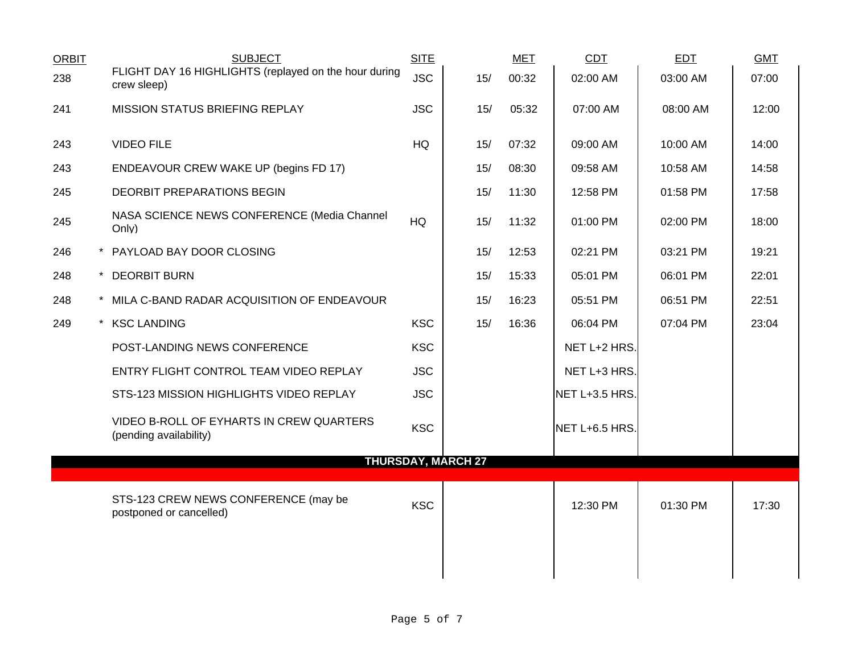| <b>ORBIT</b> | <b>SUBJECT</b>                                                       | <b>SITE</b>               |     | <b>MET</b> | <b>CDT</b>     | <b>EDT</b> | <b>GMT</b> |
|--------------|----------------------------------------------------------------------|---------------------------|-----|------------|----------------|------------|------------|
| 238          | FLIGHT DAY 16 HIGHLIGHTS (replayed on the hour during<br>crew sleep) | <b>JSC</b>                | 15/ | 00:32      | 02:00 AM       | 03:00 AM   | 07:00      |
| 241          | MISSION STATUS BRIEFING REPLAY                                       | <b>JSC</b>                | 15/ | 05:32      | 07:00 AM       | 08:00 AM   | 12:00      |
| 243          | <b>VIDEO FILE</b>                                                    | HQ                        | 15/ | 07:32      | 09:00 AM       | 10:00 AM   | 14:00      |
| 243          | ENDEAVOUR CREW WAKE UP (begins FD 17)                                |                           | 15/ | 08:30      | 09:58 AM       | 10:58 AM   | 14:58      |
| 245          | DEORBIT PREPARATIONS BEGIN                                           |                           | 15/ | 11:30      | 12:58 PM       | 01:58 PM   | 17:58      |
| 245          | NASA SCIENCE NEWS CONFERENCE (Media Channel<br>Only)                 | HQ                        | 15/ | 11:32      | 01:00 PM       | 02:00 PM   | 18:00      |
| 246          | * PAYLOAD BAY DOOR CLOSING                                           |                           | 15/ | 12:53      | 02:21 PM       | 03:21 PM   | 19:21      |
| 248          | * DEORBIT BURN                                                       |                           | 15/ | 15:33      | 05:01 PM       | 06:01 PM   | 22:01      |
| 248          | * MILA C-BAND RADAR ACQUISITION OF ENDEAVOUR                         |                           | 15/ | 16:23      | 05:51 PM       | 06:51 PM   | 22:51      |
| 249          | * KSC LANDING                                                        | <b>KSC</b>                | 15/ | 16:36      | 06:04 PM       | 07:04 PM   | 23:04      |
|              | POST-LANDING NEWS CONFERENCE                                         | <b>KSC</b>                |     |            | NET L+2 HRS.   |            |            |
|              | ENTRY FLIGHT CONTROL TEAM VIDEO REPLAY                               | <b>JSC</b>                |     |            | NET L+3 HRS.   |            |            |
|              | STS-123 MISSION HIGHLIGHTS VIDEO REPLAY                              | <b>JSC</b>                |     |            | NET L+3.5 HRS. |            |            |
|              | VIDEO B-ROLL OF EYHARTS IN CREW QUARTERS<br>(pending availability)   | <b>KSC</b>                |     |            | NET L+6.5 HRS. |            |            |
|              |                                                                      | <b>THURSDAY, MARCH 27</b> |     |            |                |            |            |
|              | STS-123 CREW NEWS CONFERENCE (may be<br>postponed or cancelled)      | <b>KSC</b>                |     |            | 12:30 PM       | 01:30 PM   | 17:30      |
|              |                                                                      |                           |     |            |                |            |            |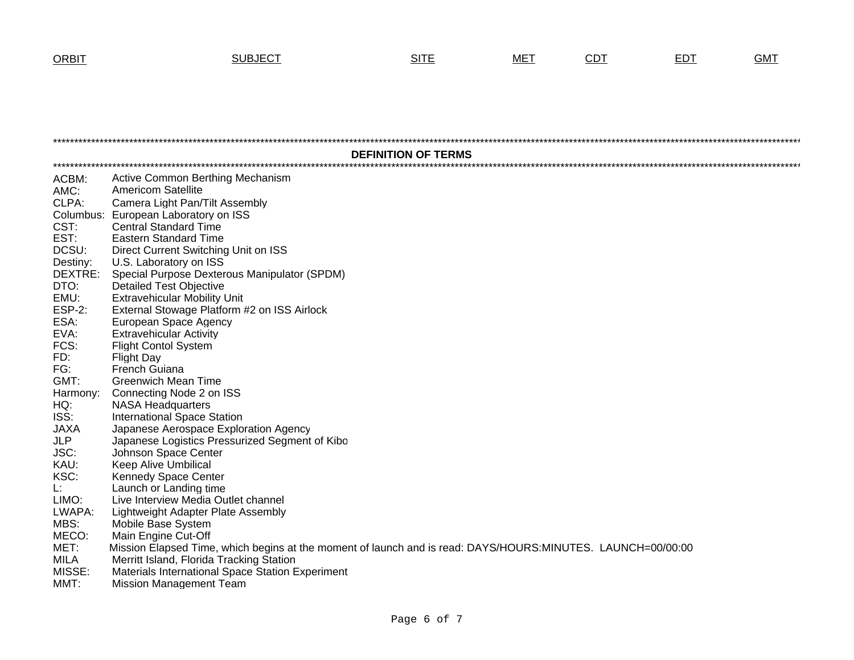## T SUBJECT SITE MET <u>CDT</u> <u>EDT</u> GMT

|               | <b>DEFINITION OF TERMS</b>                                                                                  |  |  |  |  |  |  |
|---------------|-------------------------------------------------------------------------------------------------------------|--|--|--|--|--|--|
|               |                                                                                                             |  |  |  |  |  |  |
| ACBM:         | Active Common Berthing Mechanism                                                                            |  |  |  |  |  |  |
| AMC:          | <b>Americom Satellite</b>                                                                                   |  |  |  |  |  |  |
| CLPA:         | Camera Light Pan/Tilt Assembly                                                                              |  |  |  |  |  |  |
| CST:          | Columbus: European Laboratory on ISS                                                                        |  |  |  |  |  |  |
| EST:          | <b>Central Standard Time</b><br><b>Eastern Standard Time</b>                                                |  |  |  |  |  |  |
| DCSU:         | Direct Current Switching Unit on ISS                                                                        |  |  |  |  |  |  |
| Destiny:      | U.S. Laboratory on ISS                                                                                      |  |  |  |  |  |  |
| DEXTRE:       | Special Purpose Dexterous Manipulator (SPDM)                                                                |  |  |  |  |  |  |
| DTO:          | <b>Detailed Test Objective</b>                                                                              |  |  |  |  |  |  |
| EMU:          | <b>Extravehicular Mobility Unit</b>                                                                         |  |  |  |  |  |  |
| <b>ESP-2:</b> | External Stowage Platform #2 on ISS Airlock                                                                 |  |  |  |  |  |  |
| ESA:          | European Space Agency                                                                                       |  |  |  |  |  |  |
| EVA:          | <b>Extravehicular Activity</b>                                                                              |  |  |  |  |  |  |
| FCS:          | <b>Flight Contol System</b>                                                                                 |  |  |  |  |  |  |
| FD:           | <b>Flight Day</b>                                                                                           |  |  |  |  |  |  |
| FG:           | French Guiana                                                                                               |  |  |  |  |  |  |
| GMT:          | <b>Greenwich Mean Time</b>                                                                                  |  |  |  |  |  |  |
| Harmony:      | Connecting Node 2 on ISS                                                                                    |  |  |  |  |  |  |
| HQ:           | <b>NASA Headquarters</b>                                                                                    |  |  |  |  |  |  |
| ISS:          | <b>International Space Station</b>                                                                          |  |  |  |  |  |  |
| <b>JAXA</b>   | Japanese Aerospace Exploration Agency                                                                       |  |  |  |  |  |  |
| JLP           | Japanese Logistics Pressurized Segment of Kibo                                                              |  |  |  |  |  |  |
| JSC:          | Johnson Space Center                                                                                        |  |  |  |  |  |  |
| KAU:          | <b>Keep Alive Umbilical</b>                                                                                 |  |  |  |  |  |  |
| KSC:          | Kennedy Space Center                                                                                        |  |  |  |  |  |  |
| Ŀ.            | Launch or Landing time                                                                                      |  |  |  |  |  |  |
| LIMO:         | Live Interview Media Outlet channel                                                                         |  |  |  |  |  |  |
| LWAPA:        | Lightweight Adapter Plate Assembly                                                                          |  |  |  |  |  |  |
| MBS:          | Mobile Base System                                                                                          |  |  |  |  |  |  |
| MECO:         | Main Engine Cut-Off                                                                                         |  |  |  |  |  |  |
| MET:          | Mission Elapsed Time, which begins at the moment of launch and is read: DAYS/HOURS:MINUTES. LAUNCH=00/00:00 |  |  |  |  |  |  |
| <b>MILA</b>   | Merritt Island, Florida Tracking Station                                                                    |  |  |  |  |  |  |
| MISSE:        | Materials International Space Station Experiment                                                            |  |  |  |  |  |  |
| MMT:          | <b>Mission Management Team</b>                                                                              |  |  |  |  |  |  |